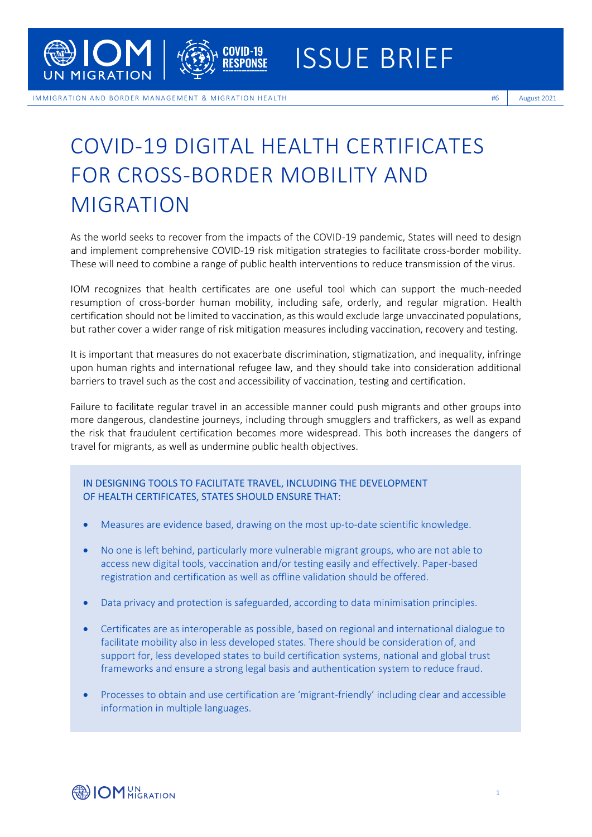

IM MIGRATION AND BORDER MANAGEMENT & MIGRATION HEALTH **Example 1999 August 2021** 

## COVID-19 DIGITAL HEALTH CERTIFICATES FOR CROSS-BORDER MOBILITY AND MIGRATION

As the world seeks to recover from the impacts of the COVID-19 pandemic, States will need to design and implement comprehensive COVID-19 risk mitigation strategies to facilitate cross-border mobility. These will need to combine a range of public health interventions to reduce transmission of the virus.

IOM recognizes that health certificates are one useful tool which can support the much-needed resumption of cross-border human mobility, including safe, orderly, and regular migration. Health certification should not be limited to vaccination, as this would exclude large unvaccinated populations, but rather cover a wider range of risk mitigation measures including vaccination, recovery and testing.

It is important that measures do not exacerbate discrimination, stigmatization, and inequality, infringe upon human rights and international refugee law, and they should take into consideration additional barriers to travel such as the cost and accessibility of vaccination, testing and certification.

Failure to facilitate regular travel in an accessible manner could push migrants and other groups into more dangerous, clandestine journeys, including through smugglers and traffickers, as well as expand the risk that fraudulent certification becomes more widespread. This both increases the dangers of travel for migrants, as well as undermine public health objectives.

## IN DESIGNING TOOLS TO FACILITATE TRAVEL, INCLUDING THE DEVELOPMENT OF HEALTH CERTIFICATES, STATES SHOULD ENSURE THAT:

- Measures are evidence based, drawing on the most up-to-date scientific knowledge.
- No one is left behind, particularly more vulnerable migrant groups, who are not able to access new digital tools, vaccination and/or testing easily and effectively. Paper-based registration and certification as well as offline validation should be offered.
- Data privacy and protection is safeguarded, according to data minimisation principles.
- Certificates are as interoperable as possible, based on regional and international dialogue to facilitate mobility also in less developed states. There should be consideration of, and support for, less developed states to build certification systems, national and global trust frameworks and ensure a strong legal basis and authentication system to reduce fraud.
- Processes to obtain and use certification are 'migrant-friendly' including clear and accessible information in multiple languages.